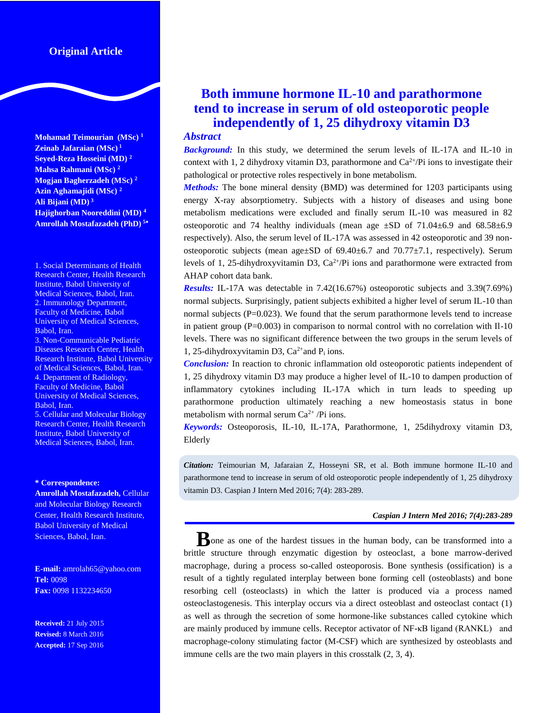# **Original Article**

**Mohamad Teimourian (MSc) <sup>1</sup> Zeinab Jafaraian (MSc) 1 Seyed-Reza Hosseini (MD) <sup>2</sup> Mahsa Rahmani (MSc) <sup>2</sup> Mogjan Bagherzadeh (MSc) <sup>2</sup> Azin Aghamajidi (MSc) <sup>2</sup> Ali Bijani (MD) <sup>3</sup> Hajighorban Nooreddini (MD) <sup>4</sup> Amrollah Mostafazadeh (PhD) <sup>5</sup>**

1. Social Determinants of Health Research Center, Health Research Institute, Babol University of Medical Sciences, Babol, Iran. 2. Immunology Department, Faculty of Medicine, Babol University of Medical Sciences, Babol, Iran.

3. Non-Communicable Pediatric Diseases Research Center, Health Research Institute, Babol University of Medical Sciences, Babol, Iran. 4. Department of Radiology, Faculty of Medicine, Babol University of Medical Sciences, Babol, Iran.

5. Cellular and Molecular Biology Research Center, Health Research Institute, Babol University of Medical Sciences, Babol, Iran.

#### **\* Correspondence:**

**Amrollah Mostafazadeh,** Cellular and Molecular Biology Research Center, Health Research Institute, Babol University of Medical Sciences, Babol, Iran.

**E-mail:** amrolah65@yahoo.com **Tel:** 0098 **Fax:** 0098 1132234650

**Received:** 21 July 2015 **Revised:** 8 March 2016 **Accepted:** 17 Sep 2016

# **Both immune hormone IL-10 and parathormone tend to increase in serum of old osteoporotic people independently of 1, 25 dihydroxy vitamin D3**

## *Abstract*

*Background:* In this study, we determined the serum levels of IL-17A and IL-10 in context with 1, 2 dihydroxy vitamin D3, parathormone and  $Ca^{2+}/Pi$  ions to investigate their pathological or protective roles respectively in bone metabolism.

*Methods:* The bone mineral density (BMD) was determined for 1203 participants using energy X-ray absorptiometry. Subjects with a history of diseases and using bone metabolism medications were excluded and finally serum IL-10 was measured in 82 osteoporotic and 74 healthy individuals (mean age  $\pm SD$  of 71.04 $\pm 6.9$  and 68.58 $\pm 6.9$ respectively). Also, the serum level of IL-17A was assessed in 42 osteoporotic and 39 nonosteoporotic subjects (mean age $\pm$ SD of 69.40 $\pm$ 6.7 and 70.77 $\pm$ 7.1, respectively). Serum levels of 1, 25-dihydroxyvitamin D3,  $Ca^{2+}/Pi$  ions and parathormone were extracted from AHAP cohort data bank.

*Results:* IL-17A was detectable in 7.42(16.67%) osteoporotic subjects and 3.39(7.69%) normal subjects. Surprisingly, patient subjects exhibited a higher level of serum IL-10 than normal subjects  $(P=0.023)$ . We found that the serum parathormone levels tend to increase in patient group  $(P=0.003)$  in comparison to normal control with no correlation with Il-10 levels. There was no significant difference between the two groups in the serum levels of 1, 25-dihydroxyvitamin D3,  $Ca^{2+}$  and  $P_i$  ions.

*Conclusion:* In reaction to chronic inflammation old osteoporotic patients independent of 1, 25 dihydroxy vitamin D3 may produce a higher level of IL-10 to dampen production of inflammatory cytokines including IL-17A which in turn leads to speeding up parathormone production ultimately reaching a new homeostasis status in bone metabolism with normal serum  $Ca^{2+}/Pi$  ions.

*Keywords:* Osteoporosis, IL-10, IL-17A, Parathormone, 1, 25dihydroxy vitamin D3, Elderly

*Citation:* Teimourian M, Jafaraian Z, Hosseyni SR, et al. Both immune hormone IL-10 and parathormone tend to increase in serum of old osteoporotic people independently of 1, 25 dihydroxy vitamin D3. Caspian J Intern Med 2016; 7(4): 283-289.

#### *Caspian J Intern Med 2016; 7(4):283-289*

**B**one as one of the hardest tissues in the human body, can be transformed into a brittle structure through enzymatic digestion by osteoclast, a bone marrow-derived macrophage, during a process so-called osteoporosis. Bone synthesis (ossification) is a result of a tightly regulated interplay between bone forming cell (osteoblasts) and bone resorbing cell (osteoclasts) in which the latter is produced via a process named osteoclastogenesis. This interplay occurs via a direct osteoblast and osteoclast contact (1) as well as through the secretion of some hormone-like substances called cytokine which are mainly produced by immune cells. Receptor activator of NF-κB ligand (RANKL) and macrophage-colony stimulating factor (M-CSF) which are synthesized by osteoblasts and immune cells are the two main players in this crosstalk (2, 3, 4).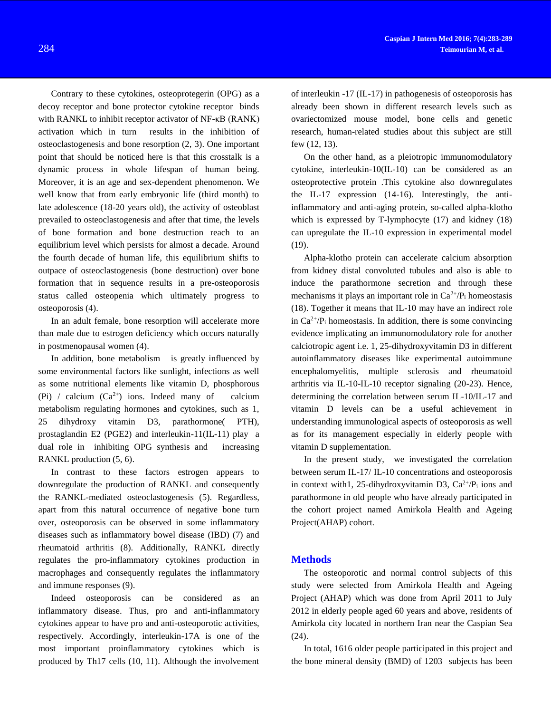Contrary to these cytokines, osteoprotegerin (OPG) as a decoy receptor and bone protector cytokine receptor binds with RANKL to inhibit receptor activator of NF-κB (RANK) activation which in turn results in the inhibition of osteoclastogenesis and bone resorption (2, 3). One important point that should be noticed here is that this crosstalk is a dynamic process in whole lifespan of human being. Moreover, it is an age and sex-dependent phenomenon. We well know that from early embryonic life (third month) to late adolescence (18-20 years old), the activity of osteoblast prevailed to osteoclastogenesis and after that time, the levels of bone formation and bone destruction reach to an equilibrium level which persists for almost a decade. Around the fourth decade of human life, this equilibrium shifts to outpace of osteoclastogenesis (bone destruction) over bone formation that in sequence results in a pre-osteoporosis status called osteopenia which ultimately progress to osteoporosis (4).

In an adult female, bone resorption will accelerate more than male due to estrogen deficiency which occurs naturally in postmenopausal women (4).

In addition, bone metabolism is greatly influenced by some environmental factors like sunlight, infections as well as some nutritional elements like vitamin D, phosphorous (Pi) / calcium  $(Ca^{2+})$  ions. Indeed many of calcium metabolism regulating hormones and cytokines, such as 1, 25 dihydroxy vitamin D3, parathormone( PTH), prostaglandin E2 (PGE2) and interleukin-11(IL-11) play a dual role in inhibiting OPG synthesis and increasing RANKL production (5, 6).

In contrast to these factors estrogen appears to downregulate the production of RANKL and consequently the RANKL-mediated osteoclastogenesis (5). Regardless, apart from this natural occurrence of negative bone turn over, osteoporosis can be observed in some inflammatory diseases such as inflammatory bowel disease (IBD) (7) and rheumatoid arthritis (8). Additionally, RANKL directly regulates the pro-inflammatory cytokines production in macrophages and consequently regulates the inflammatory and immune responses (9).

Indeed osteoporosis can be considered as an inflammatory disease. Thus, pro and anti-inflammatory cytokines appear to have pro and anti-osteoporotic activities, respectively. Accordingly, interleukin-17A is one of the most important proinflammatory cytokines which is produced by Th17 cells (10, 11). Although the involvement

of interleukin -17 (IL-17) in pathogenesis of osteoporosis has already been shown in different research levels such as ovariectomized mouse model, bone cells and genetic research, human-related studies about this subject are still few (12, 13).

On the other hand, as a pleiotropic immunomodulatory cytokine, interleukin-10(IL-10) can be considered as an osteoprotective protein .This cytokine also downregulates the IL-17 expression (14-16). Interestingly, the antiinflammatory and anti-aging protein, so-called alpha-klotho which is expressed by T-lymphocyte (17) and kidney (18) can upregulate the IL-10 expression in experimental model  $(19)$ .

Alpha-klotho protein can accelerate calcium absorption from kidney distal convoluted tubules and also is able to induce the parathormone secretion and through these mechanisms it plays an important role in  $Ca^{2+}/P_i$  homeostasis (18). Together it means that IL-10 may have an indirect role in  $Ca^{2+}/P_i$  homeostasis. In addition, there is some convincing evidence implicating an immunomodulatory role for another calciotropic agent i.e. 1, 25-dihydroxyvitamin D3 in different autoinflammatory diseases like experimental autoimmune encephalomyelitis, multiple sclerosis and rheumatoid arthritis via IL-10-IL-10 receptor signaling (20-23). Hence, determining the correlation between serum IL-10/IL-17 and vitamin D levels can be a useful achievement in understanding immunological aspects of osteoporosis as well as for its management especially in elderly people with vitamin D supplementation.

In the present study, we investigated the correlation between serum IL-17/ IL-10 concentrations and osteoporosis in context with1, 25-dihydroxyvitamin D3,  $Ca^{2+}/P_i$  ions and parathormone in old people who have already participated in the cohort project named Amirkola Health and Ageing Project(AHAP) cohort.

## **Methods**

The osteoporotic and normal control subjects of this study were selected from Amirkola Health and Ageing Project (AHAP) which was done from April 2011 to July 2012 in elderly people aged 60 years and above, residents of Amirkola city located in northern Iran near the Caspian Sea (24).

In total, 1616 older people participated in this project and the bone mineral density (BMD) of 1203 subjects has been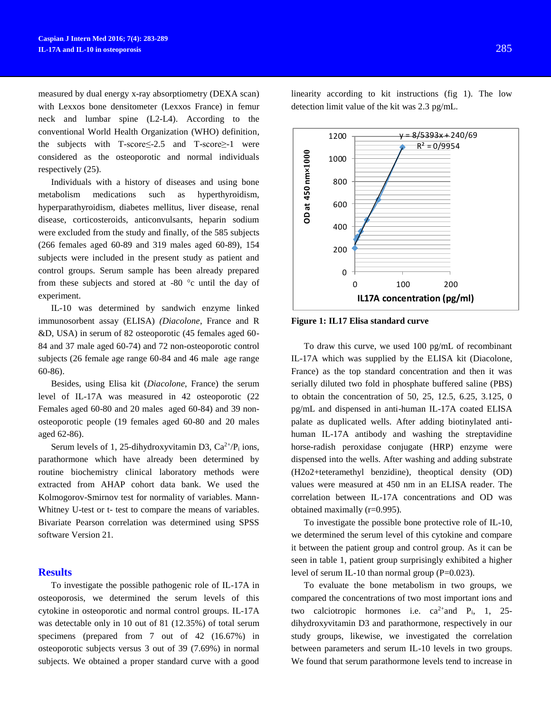measured by dual energy x-ray absorptiometry (DEXA scan) with Lexxos bone densitometer (Lexxos France) in femur neck and lumbar spine (L2-L4). According to the conventional World Health Organization (WHO) definition, the subjects with T-score≤-2.5 and T-score≥-1 were considered as the osteoporotic and normal individuals respectively (25).

Individuals with a history of diseases and using bone metabolism medications such as hyperthyroidism, hyperparathyroidism, diabetes mellitus, liver disease, renal disease, corticosteroids, anticonvulsants, heparin sodium were excluded from the study and finally, of the 585 subjects (266 females aged 60-89 and 319 males aged 60-89), 154 subjects were included in the present study as patient and control groups. Serum sample has been already prepared from these subjects and stored at -80 $\degree$ c until the day of experiment.

IL-10 was determined by sandwich enzyme linked immunosorbent assay (ELISA) *(Diacolone*, France and R &D, USA) in serum of 82 osteoporotic (45 females aged 60- 84 and 37 male aged 60-74) and 72 non-osteoporotic control subjects (26 female age range 60-84 and 46 male age range 60-86).

Besides, using Elisa kit (*Diacolone*, France) the serum level of IL-17A was measured in 42 osteoporotic (22 Females aged 60-80 and 20 males aged 60-84) and 39 nonosteoporotic people (19 females aged 60-80 and 20 males aged 62-86).

Serum levels of 1, 25-dihydroxyvitamin D3,  $Ca^{2+}/P_i$  ions, parathormone which have already been determined by routine biochemistry clinical laboratory methods were extracted from AHAP cohort data bank. We used the Kolmogorov-Smirnov test for normality of variables. Mann-Whitney U-test or t- test to compare the means of variables. Bivariate Pearson correlation was determined using SPSS software Version 21.

#### **Results**

To investigate the possible pathogenic role of IL-17A in osteoporosis, we determined the serum levels of this cytokine in osteoporotic and normal control groups. IL-17A was detectable only in 10 out of 81 (12.35%) of total serum specimens (prepared from 7 out of 42 (16.67%) in osteoporotic subjects versus 3 out of 39 (7.69%) in normal subjects. We obtained a proper standard curve with a good linearity according to kit instructions (fig 1). The low detection limit value of the kit was 2.3 pg/mL.



To draw this curve, we used 100 pg/mL of recombinant IL-17A which was supplied by the ELISA kit (Diacolone, France) as the top standard concentration and then it was serially diluted two fold in phosphate buffered saline (PBS) to obtain the concentration of 50, 25, 12.5, 6.25, 3.125, 0 pg/mL and dispensed in anti-human IL-17A coated ELISA palate as duplicated wells. After adding biotinylated antihuman IL-17A antibody and washing the streptavidine horse-radish peroxidase conjugate (HRP) enzyme were dispensed into the wells. After washing and adding substrate (H2o2+teteramethyl benzidine), theoptical density (OD) values were measured at 450 nm in an ELISA reader. The correlation between IL-17A concentrations and OD was obtained maximally (r=0.995).

To investigate the possible bone protective role of IL-10, we determined the serum level of this cytokine and compare it between the patient group and control group. As it can be seen in table 1, patient group surprisingly exhibited a higher level of serum IL-10 than normal group  $(P=0.023)$ .

To evaluate the bone metabolism in two groups, we compared the concentrations of two most important ions and two calciotropic hormones i.e.  $ca^{2+}$  and  $P_i$ , 1, 25dihydroxyvitamin D3 and parathormone, respectively in our study groups, likewise, we investigated the correlation between parameters and serum IL-10 levels in two groups. We found that serum parathormone levels tend to increase in

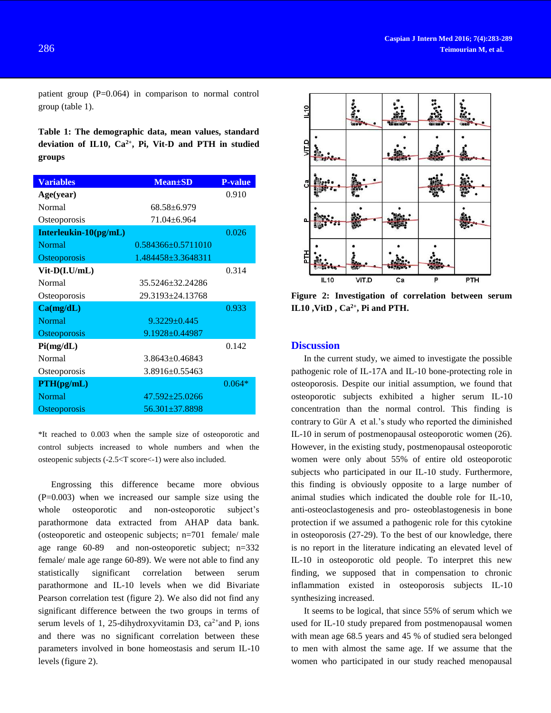patient group (P=0.064) in comparison to normal control group (table 1).

**Table 1: The demographic data, mean values, standard deviation of IL10, Ca2+, Pi, Vit-D and PTH in studied groups**

| <b>Variables</b>      | <b>Mean</b> ±SD        | <b>P-value</b> |
|-----------------------|------------------------|----------------|
| Age(year)             |                        | 0.910          |
| <b>Normal</b>         | $68.58 \pm 6.979$      |                |
| Osteoporosis          | 71.04±6.964            |                |
| Interleukin-10(pg/mL) |                        | 0.026          |
| <b>Normal</b>         | $0.584366 + 0.5711010$ |                |
| Osteoporosis          | 1.484458+3.3648311     |                |
| $Vit-D(I.U/mL)$       |                        | 0.314          |
| <b>Normal</b>         | 35.5246±32.24286       |                |
| Osteoporosis          | 29.3193±24.13768       |                |
| Ca(mg/dL)             |                        | 0.933          |
| <b>Normal</b>         | $9.3229 \pm 0.445$     |                |
| <b>Osteoporosis</b>   | 9.1928±0.44987         |                |
| Pi(mg/dL)             |                        | 0.142          |
| <b>Normal</b>         | $3.8643 \pm 0.46843$   |                |
| Osteoporosis          | 3.8916±0.55463         |                |
| PTH(pg/mL)            |                        | $0.064*$       |
| <b>Normal</b>         | $47.592 \pm 25.0266$   |                |
| Osteoporosis          | 56.301±37.8898         |                |

\*It reached to 0.003 when the sample size of osteoporotic and control subjects increased to whole numbers and when the osteopenic subjects (-2.5<T score<-1) were also included.

Engrossing this difference became more obvious (P=0.003) when we increased our sample size using the whole osteoporotic and non-osteoporotic subject's parathormone data extracted from AHAP data bank. (osteoporetic and osteopenic subjects; n=701 female/ male age range 60-89 and non-osteoporetic subject; n=332 female/ male age range 60-89). We were not able to find any statistically significant correlation between serum parathormone and IL-10 levels when we did Bivariate Pearson correlation test (figure 2). We also did not find any significant difference between the two groups in terms of serum levels of 1, 25-dihydroxyvitamin D3,  $ca^{2+}$  and  $P_i$  ions and there was no significant correlation between these parameters involved in bone homeostasis and serum IL-10 levels (figure 2).



**Figure 2: Investigation of correlation between serum IL10 ,VitD , Ca2+, Pi and PTH.** 

## **Discussion**

In the current study, we aimed to investigate the possible pathogenic role of IL-17A and IL-10 bone-protecting role in osteoporosis. Despite our initial assumption, we found that osteoporotic subjects exhibited a higher serum IL-10 concentration than the normal control. This finding is contrary to [Gür A](http://www.ncbi.nlm.nih.gov/pubmed/?term=G%C3%BCr%20A%5BAuthor%5D&cauthor=true&cauthor_uid=12215865) et al.'s study who reported the diminished IL-10 in serum of postmenopausal osteoporotic women (26). However, in the existing study, postmenopausal osteoporotic women were only about 55% of entire old osteoporotic subjects who participated in our IL-10 study. Furthermore, this finding is obviously opposite to a large number of animal studies which indicated the double role for IL-10, anti-osteoclastogenesis and pro- osteoblastogenesis in bone protection if we assumed a pathogenic role for this cytokine in osteoporosis (27-29). To the best of our knowledge, there is no report in the literature indicating an elevated level of IL-10 in osteoporotic old people. To interpret this new finding, we supposed that in compensation to chronic inflammation existed in osteoporosis subjects IL-10 synthesizing increased.

It seems to be logical, that since 55% of serum which we used for IL-10 study prepared from postmenopausal women with mean age 68.5 years and 45 % of studied sera belonged to men with almost the same age. If we assume that the women who participated in our study reached menopausal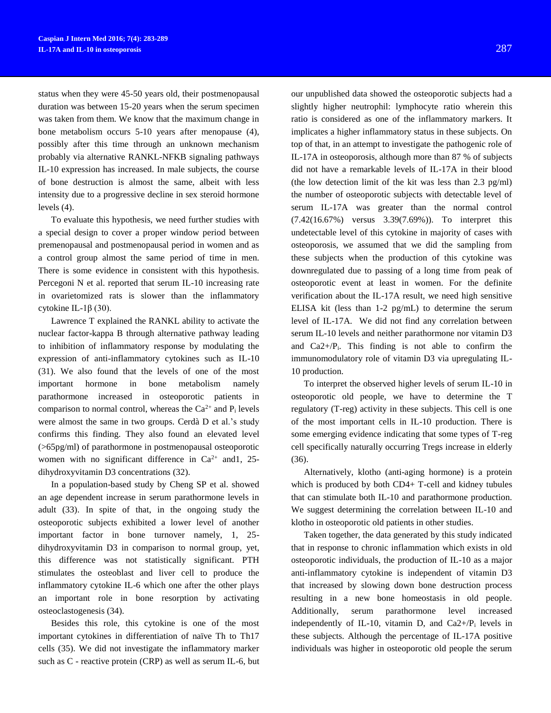status when they were 45-50 years old, their postmenopausal duration was between 15-20 years when the serum specimen was taken from them. We know that the maximum change in bone metabolism occurs 5-10 years after menopause (4), possibly after this time through an unknown mechanism probably via alternative RANKL-NFKB signaling pathways IL-10 expression has increased. In male subjects, the course of bone destruction is almost the same, albeit with less intensity due to a progressive decline in sex steroid hormone levels (4).

To evaluate this hypothesis, we need further studies with a special design to cover a proper window period between premenopausal and postmenopausal period in women and as a control group almost the same period of time in men. There is some evidence in consistent with this hypothesis. [Percegoni N](http://www.ncbi.nlm.nih.gov/pubmed/?term=Percegoni%20N%5BAuthor%5D&cauthor=true&cauthor_uid=18841529) et al. reported that serum IL-10 increasing rate in ovarietomized rats is slower than the inflammatory cytokine IL-1β (30).

[Lawrence T](http://www.ncbi.nlm.nih.gov/pubmed/?term=Lawrence%20T%5BAuthor%5D&cauthor=true&cauthor_uid=20457564) explained the RANKL ability to activate the nuclear factor-kappa B through alternative pathway leading to inhibition of inflammatory response by modulating the expression of anti-inflammatory cytokines such as IL-10 (31). We also found that the levels of one of the most important hormone in bone metabolism namely parathormone increased in osteoporotic patients in comparison to normal control, whereas the  $Ca^{2+}$  and  $P_i$  levels were almost the same in two groups. [Cerdà D](http://www.ncbi.nlm.nih.gov/pubmed/?term=Cerd%C3%A0%20D%5BAuthor%5D&cauthor=true&cauthor_uid=21596374) et al.'s study confirms this finding. They also found an elevated level (>65pg/ml) of parathormone in postmenopausal osteoporotic women with no significant difference in  $Ca^{2+}$  and 1, 25dihydroxyvitamin D3 concentrations (32).

In a population-based study by [Cheng SP](http://www.ncbi.nlm.nih.gov/pubmed/?term=Cheng%20SP%5BAuthor%5D&cauthor=true&cauthor_uid=24782595) et al. showed an age dependent increase in serum parathormone levels in adult (33). In spite of that, in the ongoing study the osteoporotic subjects exhibited a lower level of another important factor in bone turnover namely, 1, 25 dihydroxyvitamin D3 in comparison to normal group, yet, this difference was not statistically significant. PTH stimulates the osteoblast and liver cell to produce the inflammatory cytokine IL-6 which one after the other plays an important role in bone resorption by activating osteoclastogenesis (34).

Besides this role, this cytokine is one of the most important cytokines in differentiation of naïve Th to Th17 cells (35). We did not investigate the inflammatory marker such as C - reactive protein (CRP) as well as serum IL-6, but

our unpublished data showed the osteoporotic subjects had a slightly higher neutrophil: lymphocyte ratio wherein this ratio is considered as one of the inflammatory markers. It implicates a higher inflammatory status in these subjects. On top of that, in an attempt to investigate the pathogenic role of IL-17A in osteoporosis, although more than 87 % of subjects did not have a remarkable levels of IL-17A in their blood (the low detection limit of the kit was less than 2.3 pg/ml) the number of osteoporotic subjects with detectable level of serum IL-17A was greater than the normal control (7.42(16.67%) versus 3.39(7.69%)). To interpret this undetectable level of this cytokine in majority of cases with osteoporosis, we assumed that we did the sampling from these subjects when the production of this cytokine was downregulated due to passing of a long time from peak of osteoporotic event at least in women. For the definite verification about the IL-17A result, we need high sensitive ELISA kit (less than 1-2 pg/mL) to determine the serum level of IL-17A. We did not find any correlation between serum IL-10 levels and neither parathormone nor vitamin D3 and  $Ca2+/P<sub>i</sub>$ . This finding is not able to confirm the immunomodulatory role of vitamin D3 via upregulating IL-10 production.

To interpret the observed higher levels of serum IL-10 in osteoporotic old people, we have to determine the T regulatory (T-reg) activity in these subjects. This cell is one of the most important cells in IL-10 production. There is some emerging evidence indicating that some types of T-reg cell specifically naturally occurring Tregs increase in elderly (36).

Alternatively, klotho (anti-aging hormone) is a protein which is produced by both CD4+ T-cell and kidney tubules that can stimulate both IL-10 and parathormone production. We suggest determining the correlation between IL-10 and klotho in osteoporotic old patients in other studies.

Taken together, the data generated by this study indicated that in response to chronic inflammation which exists in old osteoporotic individuals, the production of IL-10 as a major anti-inflammatory cytokine is independent of vitamin D3 that increased by slowing down bone destruction process resulting in a new bone homeostasis in old people. Additionally, serum parathormone level increased independently of IL-10, vitamin D, and  $Ca2+/P_i$  levels in these subjects. Although the percentage of IL-17A positive individuals was higher in osteoporotic old people the serum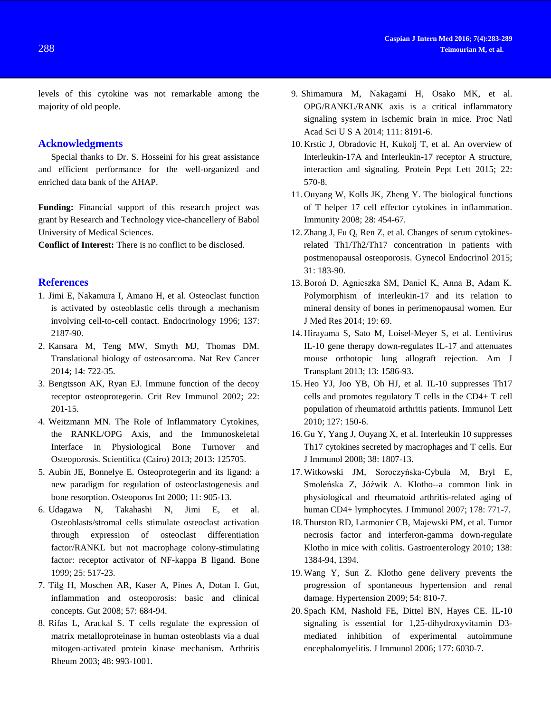levels of this cytokine was not remarkable among the majority of old people.

## **Acknowledgments**

Special thanks to Dr. S. Hosseini for his great assistance and efficient performance for the well-organized and enriched data bank of the AHAP.

**Funding:** Financial support of this research project was grant by Research and Technology vice-chancellery of Babol University of Medical Sciences.

**Conflict of Interest:** There is no conflict to be disclosed.

#### **References**

- 1. [Jimi E,](http://www.ncbi.nlm.nih.gov/pubmed/?term=Jimi%20E%5BAuthor%5D&cauthor=true&cauthor_uid=8612568) [Nakamura I,](http://www.ncbi.nlm.nih.gov/pubmed/?term=Nakamura%20I%5BAuthor%5D&cauthor=true&cauthor_uid=8612568) [Amano H,](http://www.ncbi.nlm.nih.gov/pubmed/?term=Amano%20H%5BAuthor%5D&cauthor=true&cauthor_uid=8612568) et al. Osteoclast function is activated by osteoblastic cells through a mechanism involving cell-to-cell contact. [Endocrinology](http://www.ncbi.nlm.nih.gov/pubmed/8612568) 1996; 137: 2187-90.
- 2. [Kansara M,](http://www.ncbi.nlm.nih.gov/pubmed/?term=Kansara%20M%5BAuthor%5D&cauthor=true&cauthor_uid=25319867) [Teng MW,](http://www.ncbi.nlm.nih.gov/pubmed/?term=Teng%20MW%5BAuthor%5D&cauthor=true&cauthor_uid=25319867) [Smyth MJ,](http://www.ncbi.nlm.nih.gov/pubmed/?term=Smyth%20MJ%5BAuthor%5D&cauthor=true&cauthor_uid=25319867) [Thomas DM.](http://www.ncbi.nlm.nih.gov/pubmed/?term=Thomas%20DM%5BAuthor%5D&cauthor=true&cauthor_uid=25319867) Translational biology of osteosarcoma. [Nat Rev Cancer](http://www.ncbi.nlm.nih.gov/pubmed/?term=Maya+Kansara%2C%09+Michele+W.+Teng%2C%09+Mark+J.+Smyth%09+%26+David+M.+Thomas) 2014; 14: 722-35.
- 3. [Bengtsson AK,](http://www.ncbi.nlm.nih.gov/pubmed/?term=Bengtsson%20AK%5BAuthor%5D&cauthor=true&cauthor_uid=12498383) [Ryan EJ.](http://www.ncbi.nlm.nih.gov/pubmed/?term=Ryan%20EJ%5BAuthor%5D&cauthor=true&cauthor_uid=12498383) Immune function of the decoy receptor osteoprotegerin. [Crit Rev Immunol](http://www.ncbi.nlm.nih.gov/pubmed/?term=Crit+Rev+Immunol.+2002%3B22%283%29%3A201-15.+Immune+function+of+the+decoy+receptor+osteoprotegerin.) 2002; 22: 201-15.
- 4. [Weitzmann](http://www.ncbi.nlm.nih.gov/pubmed/?term=Weitzmann%20MN%5Bauth%5D) MN. The Role of Inflammatory Cytokines, the RANKL/OPG Axis, and the Immunoskeletal Interface in Physiological Bone Turnover and Osteoporosis. Scientifica (Cairo) 2013; 2013: 125705.
- 5. [Aubin JE,](http://www.ncbi.nlm.nih.gov/pubmed/?term=Aubin%20JE%5BAuthor%5D&cauthor=true&cauthor_uid=11193242) [Bonnelye E.](http://www.ncbi.nlm.nih.gov/pubmed/?term=Bonnelye%20E%5BAuthor%5D&cauthor=true&cauthor_uid=11193242) Osteoprotegerin and its ligand: a new paradigm for regulation of osteoclastogenesis and bone resorption. [Osteoporos Int](http://www.ncbi.nlm.nih.gov/pubmed/11193242) 2000; 11: 905-13.
- 6. [Udagawa N,](http://www.ncbi.nlm.nih.gov/pubmed/?term=Udagawa%20N%5BAuthor%5D&cauthor=true&cauthor_uid=10574571) [Takahashi N,](http://www.ncbi.nlm.nih.gov/pubmed/?term=Takahashi%20N%5BAuthor%5D&cauthor=true&cauthor_uid=10574571) [Jimi E,](http://www.ncbi.nlm.nih.gov/pubmed/?term=Jimi%20E%5BAuthor%5D&cauthor=true&cauthor_uid=10574571) et al. Osteoblasts/stromal cells stimulate osteoclast activation through expression of osteoclast differentiation factor/RANKL but not macrophage colony-stimulating factor: receptor activator of NF-kappa B ligand. [Bone](http://www.ncbi.nlm.nih.gov/pubmed/10574571) 1999; 25: 517-23.
- 7. [Tilg H,](http://www.ncbi.nlm.nih.gov/pubmed/?term=Tilg%20H%5BAuthor%5D&cauthor=true&cauthor_uid=18408105) [Moschen AR,](http://www.ncbi.nlm.nih.gov/pubmed/?term=Moschen%20AR%5BAuthor%5D&cauthor=true&cauthor_uid=18408105) [Kaser A,](http://www.ncbi.nlm.nih.gov/pubmed/?term=Kaser%20A%5BAuthor%5D&cauthor=true&cauthor_uid=18408105) [Pines A,](http://www.ncbi.nlm.nih.gov/pubmed/?term=Pines%20A%5BAuthor%5D&cauthor=true&cauthor_uid=18408105) [Dotan I.](http://www.ncbi.nlm.nih.gov/pubmed/?term=Dotan%20I%5BAuthor%5D&cauthor=true&cauthor_uid=18408105) Gut, inflammation and osteoporosis: basic and clinical concepts[. Gut](http://www.ncbi.nlm.nih.gov/pubmed/?term=Gut%2C+inflammation+and+osteoporosis%3A+basic+and+clinical+concepts.) 2008; 57: 684-94.
- 8. [Rifas L,](http://www.ncbi.nlm.nih.gov/pubmed/?term=Rifas%20L%5BAuthor%5D&cauthor=true&cauthor_uid=12687541) [Arackal S.](http://www.ncbi.nlm.nih.gov/pubmed/?term=Arackal%20S%5BAuthor%5D&cauthor=true&cauthor_uid=12687541) T cells regulate the expression of matrix metalloproteinase in human osteoblasts via a dual mitogen-activated protein kinase mechanism. [Arthritis](http://www.ncbi.nlm.nih.gov/pubmed/?term=%E2%80%A2%09T+cells+regulate+the+expression+of+matrix+metalloproteinase+in+human+osteoblasts+via+a+dual+mitogen-activated+protein+kinase+mechanism.)  [Rheum](http://www.ncbi.nlm.nih.gov/pubmed/?term=%E2%80%A2%09T+cells+regulate+the+expression+of+matrix+metalloproteinase+in+human+osteoblasts+via+a+dual+mitogen-activated+protein+kinase+mechanism.) 2003; 48: 993-1001.
- 9. [Shimamura M,](http://www.ncbi.nlm.nih.gov/pubmed/?term=Shimamura%20M%5BAuthor%5D&cauthor=true&cauthor_uid=24847069) [Nakagami H,](http://www.ncbi.nlm.nih.gov/pubmed/?term=Nakagami%20H%5BAuthor%5D&cauthor=true&cauthor_uid=24847069) [Osako MK,](http://www.ncbi.nlm.nih.gov/pubmed/?term=Osako%20MK%5BAuthor%5D&cauthor=true&cauthor_uid=24847069) et al. OPG/RANKL/RANK axis is a critical inflammatory signaling system in ischemic brain in mice. [Proc Natl](http://www.ncbi.nlm.nih.gov/pubmed/?term=OPG%2FRANKL%2FRANK+axis+is+a+critical+inflammatory+signaling+system+in+ischemic+brain+in+mice)  [Acad Sci U S A](http://www.ncbi.nlm.nih.gov/pubmed/?term=OPG%2FRANKL%2FRANK+axis+is+a+critical+inflammatory+signaling+system+in+ischemic+brain+in+mice) 2014; 111: 8191-6.
- 10. [Krstic J,](http://www.ncbi.nlm.nih.gov/pubmed/?term=Krstic%20J%5BAuthor%5D&cauthor=true&cauthor_uid=25990083) [Obradovic H,](http://www.ncbi.nlm.nih.gov/pubmed/?term=Obradovic%20H%5BAuthor%5D&cauthor=true&cauthor_uid=25990083) [Kukolj T,](http://www.ncbi.nlm.nih.gov/pubmed/?term=Kukolj%20T%5BAuthor%5D&cauthor=true&cauthor_uid=25990083) et al. An overview of Interleukin-17A and Interleukin-17 receptor A structure, interaction and signaling. [Protein Pept Lett](http://www.ncbi.nlm.nih.gov/pubmed/25990083) 2015; 22: 570-8.
- 11. [Ouyang W,](http://www.ncbi.nlm.nih.gov/pubmed/?term=Ouyang%20W%5BAuthor%5D&cauthor=true&cauthor_uid=18400188) [Kolls JK,](http://www.ncbi.nlm.nih.gov/pubmed/?term=Kolls%20JK%5BAuthor%5D&cauthor=true&cauthor_uid=18400188) [Zheng Y.](http://www.ncbi.nlm.nih.gov/pubmed/?term=Zheng%20Y%5BAuthor%5D&cauthor=true&cauthor_uid=18400188) The biological functions of T helper 17 cell effector cytokines in inflammation. [Immunity](http://www.ncbi.nlm.nih.gov/pubmed/18400188) 2008; 28: 454-67.
- 12. [Zhang J,](http://www.ncbi.nlm.nih.gov/pubmed/?term=Zhang%20J%5BAuthor%5D&cauthor=true&cauthor_uid=25384921) [Fu Q,](http://www.ncbi.nlm.nih.gov/pubmed/?term=Fu%20Q%5BAuthor%5D&cauthor=true&cauthor_uid=25384921) [Ren Z,](http://www.ncbi.nlm.nih.gov/pubmed/?term=Ren%20Z%5BAuthor%5D&cauthor=true&cauthor_uid=25384921) et al. Changes of serum cytokinesrelated Th1/Th2/Th17 concentration in patients with postmenopausal osteoporosis. [Gynecol Endocrinol](http://www.ncbi.nlm.nih.gov/pubmed/25384921) 2015; 31: 183-90.
- 13. Boroń D, Agnieszka SM, Daniel K, Anna B, Adam K. Polymorphism of interleukin-17 and its relation to mineral density of bones in perimenopausal women. Eur J Med Res 2014; 19: 69.
- 14. [Hirayama S,](http://www.ncbi.nlm.nih.gov/pubmed/?term=Hirayama%20S%5BAuthor%5D&cauthor=true&cauthor_uid=23601206) [Sato M,](http://www.ncbi.nlm.nih.gov/pubmed/?term=Sato%20M%5BAuthor%5D&cauthor=true&cauthor_uid=23601206) [Loisel-Meyer S,](http://www.ncbi.nlm.nih.gov/pubmed/?term=Loisel-Meyer%20S%5BAuthor%5D&cauthor=true&cauthor_uid=23601206) et al. Lentivirus IL-10 gene therapy down-regulates IL-17 and attenuates mouse orthotopic lung allograft rejection. [Am J](http://www.ncbi.nlm.nih.gov/pubmed/23601206)  [Transplant](http://www.ncbi.nlm.nih.gov/pubmed/23601206) 2013; 13: 1586-93.
- 15. [Heo YJ,](http://www.ncbi.nlm.nih.gov/pubmed/?term=Heo%20YJ%5BAuthor%5D&cauthor=true&cauthor_uid=19895848) [Joo YB,](http://www.ncbi.nlm.nih.gov/pubmed/?term=Joo%20YB%5BAuthor%5D&cauthor=true&cauthor_uid=19895848) [Oh HJ,](http://www.ncbi.nlm.nih.gov/pubmed/?term=Oh%20HJ%5BAuthor%5D&cauthor=true&cauthor_uid=19895848) et al. IL-10 suppresses Th17 cells and promotes regulatory T cells in the CD4+ T cell population of rheumatoid arthritis patients. [Immunol Lett](http://www.ncbi.nlm.nih.gov/pubmed/?term=IL-10+suppresses+Th17+cells+and+promotes+regulatory+T-cells+in+the+Cd4+T-cell+population+of+rhematoid+artheritis) 2010; 127: 150-6.
- 16. [Gu Y,](http://www.ncbi.nlm.nih.gov/pubmed/?term=Gu%20Y%5BAuthor%5D&cauthor=true&cauthor_uid=18506885) [Yang J,](http://www.ncbi.nlm.nih.gov/pubmed/?term=Yang%20J%5BAuthor%5D&cauthor=true&cauthor_uid=18506885) [Ouyang X,](http://www.ncbi.nlm.nih.gov/pubmed/?term=Ouyang%20X%5BAuthor%5D&cauthor=true&cauthor_uid=18506885) et al. Interleukin 10 suppresses Th17 cytokines secreted by macrophages and T cells. [Eur](http://www.ncbi.nlm.nih.gov/pubmed/?term=interleukin+10+suppresses+Th17+cytokines+secreted+by+macrophages+and+T+cells++EUR+j+immunolgy+2008)  [J Immunol](http://www.ncbi.nlm.nih.gov/pubmed/?term=interleukin+10+suppresses+Th17+cytokines+secreted+by+macrophages+and+T+cells++EUR+j+immunolgy+2008) 2008; 38: 1807-13.
- 17. [Witkowski JM,](http://www.ncbi.nlm.nih.gov/pubmed/?term=Witkowski%20JM%5BAuthor%5D&cauthor=true&cauthor_uid=17202338) [Soroczyńska-Cybula M,](http://www.ncbi.nlm.nih.gov/pubmed/?term=Soroczy%C5%84ska-Cybula%20M%5BAuthor%5D&cauthor=true&cauthor_uid=17202338) [Bryl E,](http://www.ncbi.nlm.nih.gov/pubmed/?term=Bryl%20E%5BAuthor%5D&cauthor=true&cauthor_uid=17202338) [Smoleńska Z,](http://www.ncbi.nlm.nih.gov/pubmed/?term=Smole%C5%84ska%20Z%5BAuthor%5D&cauthor=true&cauthor_uid=17202338) [Jóźwik A.](http://www.ncbi.nlm.nih.gov/pubmed/?term=J%C3%B3%C5%BAwik%20A%5BAuthor%5D&cauthor=true&cauthor_uid=17202338) Klotho--a common link in physiological and rheumatoid arthritis-related aging of human CD4+ lymphocytes[. J Immunol](http://www.ncbi.nlm.nih.gov/pubmed/17202338) 2007; 178: 771-7.
- 18. [Thurston RD,](http://www.ncbi.nlm.nih.gov/pubmed/?term=Thurston%20RD%5BAuthor%5D&cauthor=true&cauthor_uid=20004202) [Larmonier CB,](http://www.ncbi.nlm.nih.gov/pubmed/?term=Larmonier%20CB%5BAuthor%5D&cauthor=true&cauthor_uid=20004202) [Majewski PM,](http://www.ncbi.nlm.nih.gov/pubmed/?term=Majewski%20PM%5BAuthor%5D&cauthor=true&cauthor_uid=20004202) et al. Tumor necrosis factor and interferon-gamma down-regulate Klotho in mice with colitis. [Gastroenterology](http://www.ncbi.nlm.nih.gov/pubmed/20004202) 2010; 138: 1384-94, 1394.
- 19. [Wang Y,](http://www.ncbi.nlm.nih.gov/pubmed/?term=Wang%20Y%5BAuthor%5D&cauthor=true&cauthor_uid=19635988) [Sun Z.](http://www.ncbi.nlm.nih.gov/pubmed/?term=Sun%20Z%5BAuthor%5D&cauthor=true&cauthor_uid=19635988) Klotho gene delivery prevents the progression of spontaneous hypertension and renal damage. [Hypertension](http://www.ncbi.nlm.nih.gov/pubmed/?term=Klotho+Gene+Delivery+Prevents+the+Progression+of+Spontaneous+Hypertension+and+Renal+Damage) 2009; 54: 810-7.
- 20. [Spach KM,](http://www.ncbi.nlm.nih.gov/pubmed/?term=Spach%20KM%5BAuthor%5D&cauthor=true&cauthor_uid=17056528) [Nashold FE,](http://www.ncbi.nlm.nih.gov/pubmed/?term=Nashold%20FE%5BAuthor%5D&cauthor=true&cauthor_uid=17056528) [Dittel BN,](http://www.ncbi.nlm.nih.gov/pubmed/?term=Dittel%20BN%5BAuthor%5D&cauthor=true&cauthor_uid=17056528) [Hayes CE.](http://www.ncbi.nlm.nih.gov/pubmed/?term=Hayes%20CE%5BAuthor%5D&cauthor=true&cauthor_uid=17056528) IL-10 signaling is essential for 1,25-dihydroxyvitamin D3 mediated inhibition of experimental autoimmune encephalomyelitis. J [Immunol](http://www.ncbi.nlm.nih.gov/pubmed/17056528) 2006; 177: 6030-7.